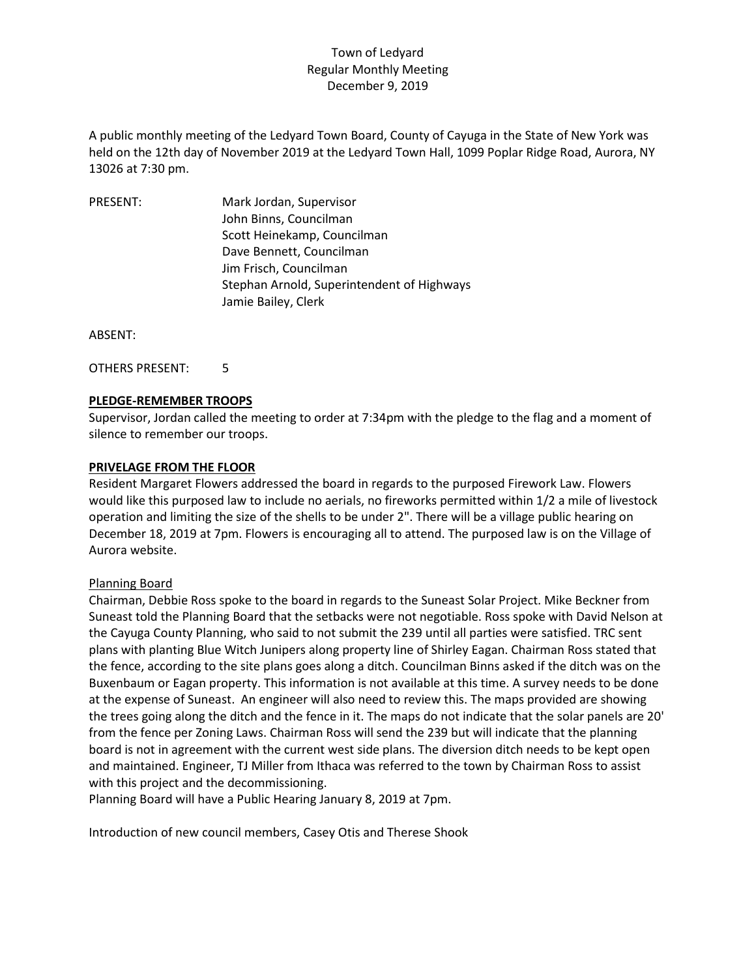# Town of Ledyard Regular Monthly Meeting December 9, 2019

A public monthly meeting of the Ledyard Town Board, County of Cayuga in the State of New York was held on the 12th day of November 2019 at the Ledyard Town Hall, 1099 Poplar Ridge Road, Aurora, NY 13026 at 7:30 pm.

PRESENT: Mark Jordan, Supervisor John Binns, Councilman Scott Heinekamp, Councilman Dave Bennett, Councilman Jim Frisch, Councilman Stephan Arnold, Superintendent of Highways Jamie Bailey, Clerk

ABSENT:

OTHERS PRESENT: 5

#### **PLEDGE-REMEMBER TROOPS**

Supervisor, Jordan called the meeting to order at 7:34pm with the pledge to the flag and a moment of silence to remember our troops.

#### **PRIVELAGE FROM THE FLOOR**

Resident Margaret Flowers addressed the board in regards to the purposed Firework Law. Flowers would like this purposed law to include no aerials, no fireworks permitted within 1/2 a mile of livestock operation and limiting the size of the shells to be under 2". There will be a village public hearing on December 18, 2019 at 7pm. Flowers is encouraging all to attend. The purposed law is on the Village of Aurora website.

#### Planning Board

Chairman, Debbie Ross spoke to the board in regards to the Suneast Solar Project. Mike Beckner from Suneast told the Planning Board that the setbacks were not negotiable. Ross spoke with David Nelson at the Cayuga County Planning, who said to not submit the 239 until all parties were satisfied. TRC sent plans with planting Blue Witch Junipers along property line of Shirley Eagan. Chairman Ross stated that the fence, according to the site plans goes along a ditch. Councilman Binns asked if the ditch was on the Buxenbaum or Eagan property. This information is not available at this time. A survey needs to be done at the expense of Suneast. An engineer will also need to review this. The maps provided are showing the trees going along the ditch and the fence in it. The maps do not indicate that the solar panels are 20' from the fence per Zoning Laws. Chairman Ross will send the 239 but will indicate that the planning board is not in agreement with the current west side plans. The diversion ditch needs to be kept open and maintained. Engineer, TJ Miller from Ithaca was referred to the town by Chairman Ross to assist with this project and the decommissioning.

Planning Board will have a Public Hearing January 8, 2019 at 7pm.

Introduction of new council members, Casey Otis and Therese Shook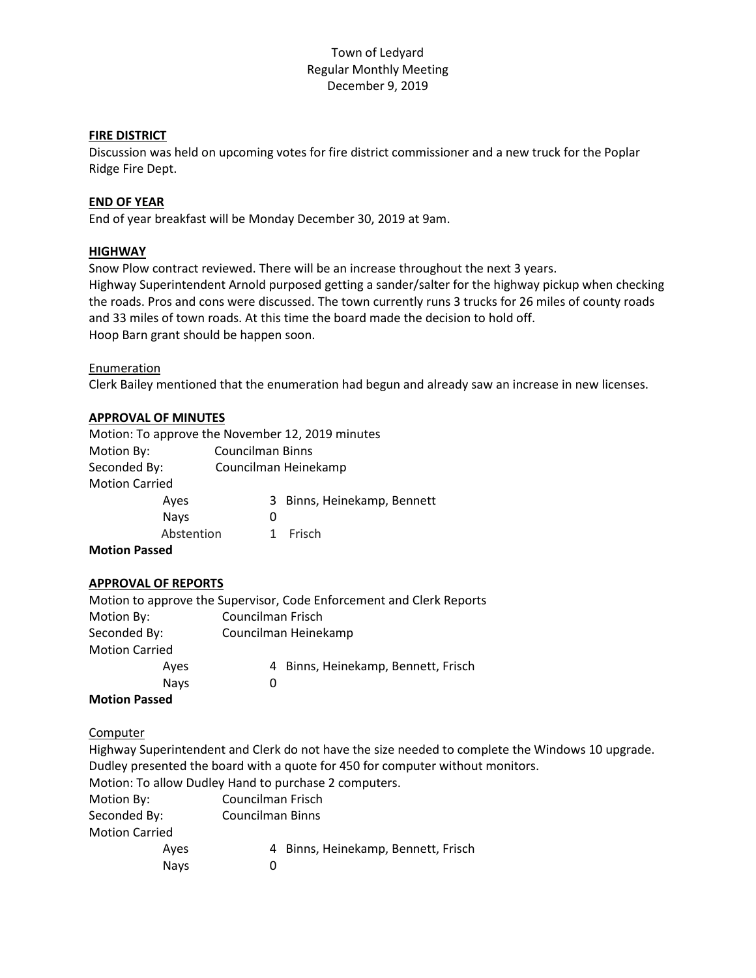# Town of Ledyard Regular Monthly Meeting December 9, 2019

## **FIRE DISTRICT**

Discussion was held on upcoming votes for fire district commissioner and a new truck for the Poplar Ridge Fire Dept.

## **END OF YEAR**

End of year breakfast will be Monday December 30, 2019 at 9am.

## **HIGHWAY**

Snow Plow contract reviewed. There will be an increase throughout the next 3 years. Highway Superintendent Arnold purposed getting a sander/salter for the highway pickup when checking the roads. Pros and cons were discussed. The town currently runs 3 trucks for 26 miles of county roads and 33 miles of town roads. At this time the board made the decision to hold off. Hoop Barn grant should be happen soon.

## **Enumeration**

Clerk Bailey mentioned that the enumeration had begun and already saw an increase in new licenses.

## **APPROVAL OF MINUTES**

| Motion: To approve the November 12, 2019 minutes |  |                         |                             |  |
|--------------------------------------------------|--|-------------------------|-----------------------------|--|
| Motion By:                                       |  | <b>Councilman Binns</b> |                             |  |
| Seconded By:                                     |  | Councilman Heinekamp    |                             |  |
| <b>Motion Carried</b>                            |  |                         |                             |  |
| Ayes                                             |  |                         | 3 Binns, Heinekamp, Bennett |  |
| <b>Nays</b>                                      |  | 0                       |                             |  |
| Abstention                                       |  | 1                       | Frisch                      |  |
|                                                  |  |                         |                             |  |

## **Motion Passed**

## **APPROVAL OF REPORTS**

|                       | Motion to approve the Supervisor, Code Enforcement and Clerk Reports |  |  |
|-----------------------|----------------------------------------------------------------------|--|--|
| Motion By:            | Councilman Frisch                                                    |  |  |
| Seconded By:          | Councilman Heinekamp                                                 |  |  |
| <b>Motion Carried</b> |                                                                      |  |  |
| Aves                  | 4 Binns, Heinekamp, Bennett, Frisch                                  |  |  |
| <b>Nays</b>           | O                                                                    |  |  |
|                       |                                                                      |  |  |

## **Motion Passed**

## **Computer**

Highway Superintendent and Clerk do not have the size needed to complete the Windows 10 upgrade. Dudley presented the board with a quote for 450 for computer without monitors.

Motion: To allow Dudley Hand to purchase 2 computers.

| Motion By:            | Councilman Frisch                   |  |  |  |
|-----------------------|-------------------------------------|--|--|--|
| Seconded By:          | <b>Councilman Binns</b>             |  |  |  |
| <b>Motion Carried</b> |                                     |  |  |  |
| Aves                  | 4 Binns, Heinekamp, Bennett, Frisch |  |  |  |
| <b>Navs</b>           | $\mathbf{I}$                        |  |  |  |